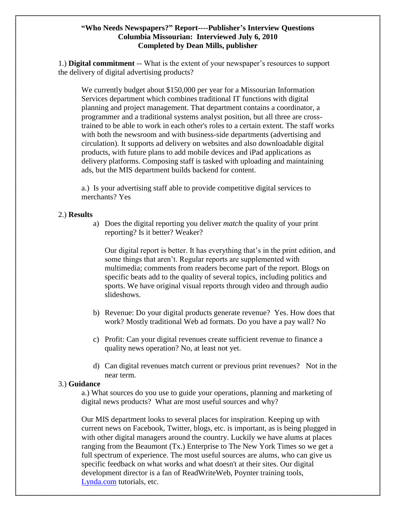# **"Who Needs Newspapers?" Report----Publisher's Interview Questions Columbia Missourian: Interviewed July 6, 2010 Completed by Dean Mills, publisher**

1.) **Digital commitment** -- What is the extent of your newspaper's resources to support the delivery of digital advertising products?

We currently budget about \$150,000 per year for a Missourian Information Services department which combines traditional IT functions with digital planning and project management. That department contains a coordinator, a programmer and a traditional systems analyst position, but all three are crosstrained to be able to work in each other's roles to a certain extent. The staff works with both the newsroom and with business-side departments (advertising and circulation). It supports ad delivery on websites and also downloadable digital products, with future plans to add mobile devices and iPad applications as delivery platforms. Composing staff is tasked with uploading and maintaining ads, but the MIS department builds backend for content.

a.) Is your advertising staff able to provide competitive digital services to merchants? Yes

## 2.) **Results**

a) Does the digital reporting you deliver *match* the quality of your print reporting? Is it better? Weaker?

Our digital report is better. It has everything that's in the print edition, and some things that aren't. Regular reports are supplemented with multimedia; comments from readers become part of the report. Blogs on specific beats add to the quality of several topics, including politics and sports. We have original visual reports through video and through audio slideshows.

- b) Revenue: Do your digital products generate revenue? Yes. How does that work? Mostly traditional Web ad formats. Do you have a pay wall? No
- c) Profit: Can your digital revenues create sufficient revenue to finance a quality news operation? No, at least not yet.
- d) Can digital revenues match current or previous print revenues? Not in the near term.

# 3.) **Guidance**

a.) What sources do you use to guide your operations, planning and marketing of digital news products? What are most useful sources and why?

Our MIS department looks to several places for inspiration. Keeping up with current news on Facebook, Twitter, blogs, etc. is important, as is being plugged in with other digital managers around the country. Luckily we have alums at places ranging from the Beaumont (Tx.) Enterprise to The New York Times so we get a full spectrum of experience. The most useful sources are alums, who can give us specific feedback on what works and what doesn't at their sites. Our digital development director is a fan of ReadWriteWeb, Poynter training tools, [Lynda.com](http://lynda.com/) tutorials, etc.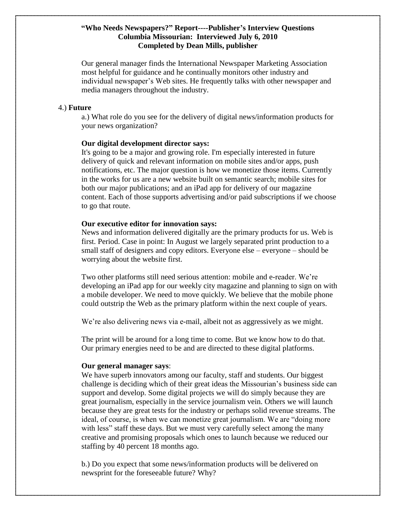# **"Who Needs Newspapers?" Report----Publisher's Interview Questions Columbia Missourian: Interviewed July 6, 2010 Completed by Dean Mills, publisher**

Our general manager finds the International Newspaper Marketing Association most helpful for guidance and he continually monitors other industry and individual newspaper's Web sites. He frequently talks with other newspaper and media managers throughout the industry.

#### 4.) **Future**

a.) What role do you see for the delivery of digital news/information products for your news organization?

## **Our digital development director says:**

It's going to be a major and growing role. I'm especially interested in future delivery of quick and relevant information on mobile sites and/or apps, push notifications, etc. The major question is how we monetize those items. Currently in the works for us are a new website built on semantic search; mobile sites for both our major publications; and an iPad app for delivery of our magazine content. Each of those supports advertising and/or paid subscriptions if we choose to go that route.

#### **Our executive editor for innovation says:**

News and information delivered digitally are the primary products for us. Web is first. Period. Case in point: In August we largely separated print production to a small staff of designers and copy editors. Everyone else – everyone – should be worrying about the website first.

Two other platforms still need serious attention: mobile and e-reader. We're developing an iPad app for our weekly city magazine and planning to sign on with a mobile developer. We need to move quickly. We believe that the mobile phone could outstrip the Web as the primary platform within the next couple of years.

We're also delivering news via e-mail, albeit not as aggressively as we might.

The print will be around for a long time to come. But we know how to do that. Our primary energies need to be and are directed to these digital platforms.

### **Our general manager says**:

We have superb innovators among our faculty, staff and students. Our biggest challenge is deciding which of their great ideas the Missourian's business side can support and develop. Some digital projects we will do simply because they are great journalism, especially in the service journalism vein. Others we will launch because they are great tests for the industry or perhaps solid revenue streams. The ideal, of course, is when we can monetize great journalism. We are "doing more with less" staff these days. But we must very carefully select among the many creative and promising proposals which ones to launch because we reduced our staffing by 40 percent 18 months ago.

b.) Do you expect that some news/information products will be delivered on newsprint for the foreseeable future? Why?